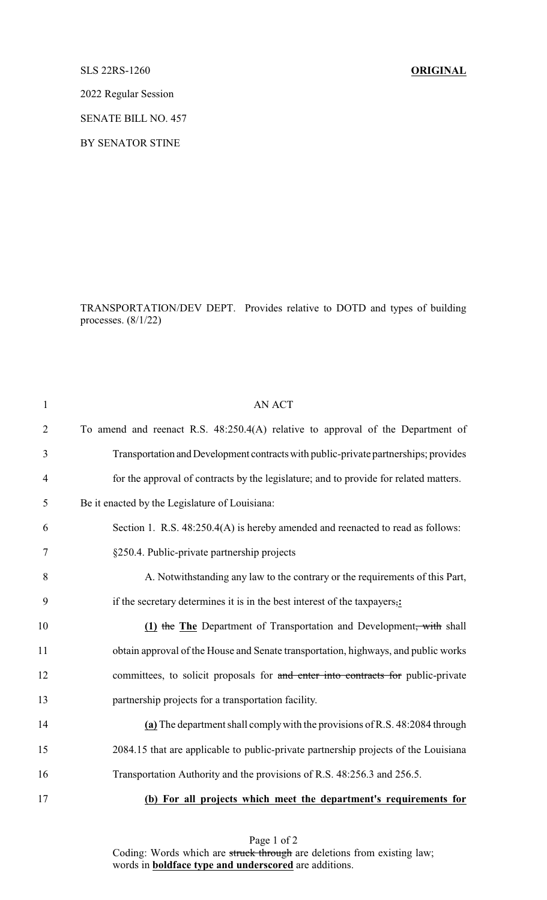## SLS 22RS-1260 **ORIGINAL**

2022 Regular Session

SENATE BILL NO. 457

BY SENATOR STINE

TRANSPORTATION/DEV DEPT. Provides relative to DOTD and types of building processes. (8/1/22)

| $\mathbf{1}$   | <b>AN ACT</b>                                                                         |
|----------------|---------------------------------------------------------------------------------------|
| $\overline{2}$ | To amend and reenact R.S. 48:250.4(A) relative to approval of the Department of       |
| 3              | Transportation and Development contracts with public-private partnerships; provides   |
| $\overline{4}$ | for the approval of contracts by the legislature; and to provide for related matters. |
| 5              | Be it enacted by the Legislature of Louisiana:                                        |
| 6              | Section 1. R.S. 48:250.4(A) is hereby amended and reenacted to read as follows:       |
| 7              | §250.4. Public-private partnership projects                                           |
| 8              | A. Notwithstanding any law to the contrary or the requirements of this Part,          |
| 9              | if the secretary determines it is in the best interest of the taxpayers,:             |
| 10             | (1) the The Department of Transportation and Development, with shall                  |
| 11             | obtain approval of the House and Senate transportation, highways, and public works    |
| 12             | committees, to solicit proposals for and enter into contracts for public-private      |
| 13             | partnership projects for a transportation facility.                                   |
| 14             | (a) The department shall comply with the provisions of R.S. 48:2084 through           |
| 15             | 2084.15 that are applicable to public-private partnership projects of the Louisiana   |
| 16             | Transportation Authority and the provisions of R.S. 48:256.3 and 256.5.               |
| 17             | (b) For all projects which meet the department's requirements for                     |
|                |                                                                                       |

Page 1 of 2

Coding: Words which are struck through are deletions from existing law; words in **boldface type and underscored** are additions.